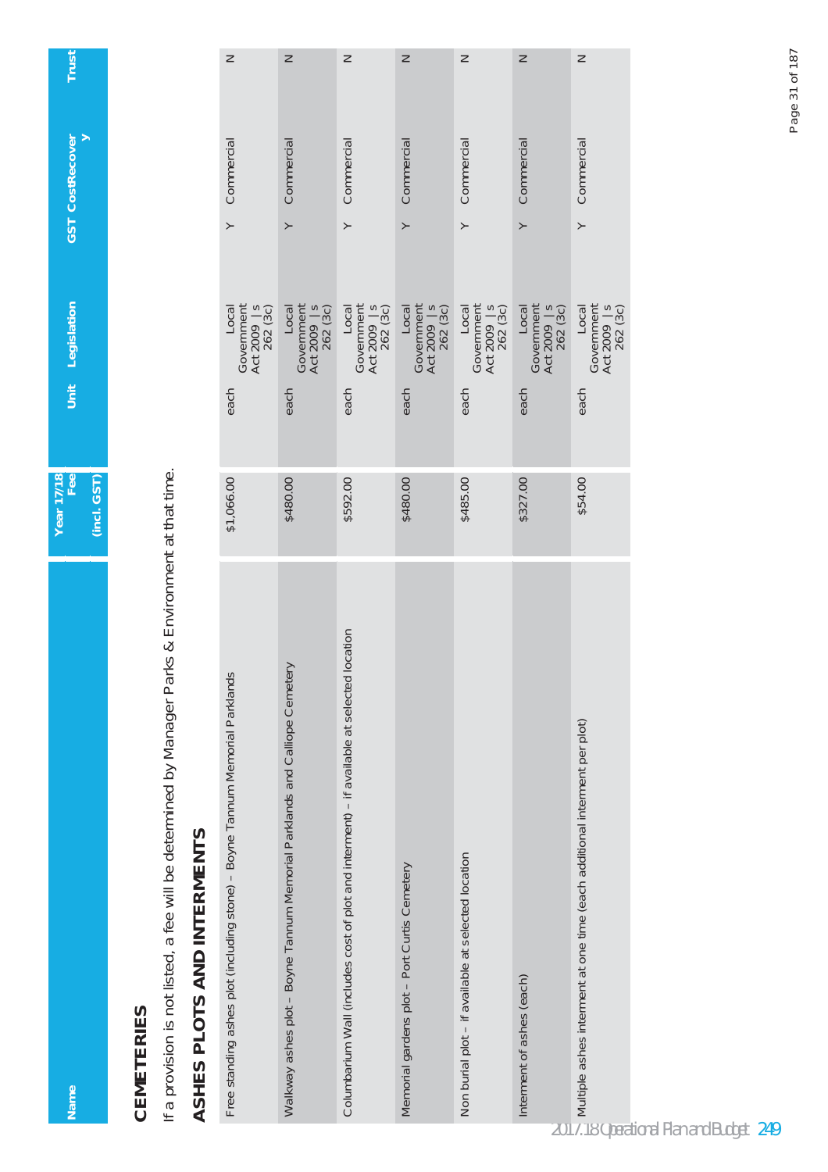|--|

Nam

**CEMETERIES**<br>If a provision is not listed, a fee will be determined by Manager Parks & Environment at that time. If a provision is not listed, a fee will be determined by Manager Parks & Environment at that time.

## ASHES PLOTS AND INTERMENTS **ASHES PLOTS AND INTERMENTS**

| Z                                                                            | Z                                                                                                                                                                                     | z                                                                                                        | z                                                                                                                                      | z                                                                                                        | Z                                                                                                       | z                                                                         |
|------------------------------------------------------------------------------|---------------------------------------------------------------------------------------------------------------------------------------------------------------------------------------|----------------------------------------------------------------------------------------------------------|----------------------------------------------------------------------------------------------------------------------------------------|----------------------------------------------------------------------------------------------------------|---------------------------------------------------------------------------------------------------------|---------------------------------------------------------------------------|
| Y Commercial                                                                 | Y Commercial                                                                                                                                                                          | Y Commercial                                                                                             | Y Commercial                                                                                                                           | Y Commercial                                                                                             | Y Commercial                                                                                            | Y Commercial                                                              |
| Local<br>Government<br>Act 2009   s<br>262 (3c)<br>each                      | $\begin{array}{c} \text{Local} \\ \text{Government} \\ \text{Act 2009} \\ \text{262} \end{array} \big\vert \begin{array}{c} \text{Local} \\ \text{S} \\ \text{3} \end{array}$<br>each | $\begin{array}{c} \text{Local} \\ \text{Government} \\ \text{Act } 2009 \\ 262 (3c) \end{array}$<br>each | $\begin{array}{c} \text{Local} \\ \text{Government} \\ \text{Act 2009} \\ \text{262} \\ \text{262} \\ \text{(3c)} \end{array}$<br>each | $\begin{array}{c} \text{Local} \\ \text{Government} \\ \text{Act } 2009 \\ 262 (3c) \end{array}$<br>each | $\begin{array}{c} \text{Local} \\ \text{Government} \\ \text{Act 2009} \\ 262 (3c) \end{array}$<br>each | Local<br>Government<br>Act 2009   s<br>262 (3c)<br>each                   |
|                                                                              |                                                                                                                                                                                       |                                                                                                          |                                                                                                                                        |                                                                                                          |                                                                                                         |                                                                           |
| \$1,066.00                                                                   | \$480.00                                                                                                                                                                              | \$592.00                                                                                                 | \$480.00                                                                                                                               | \$485.00                                                                                                 | \$327.00                                                                                                | \$54.00                                                                   |
| Free standing ashes plot (including stone) - Boyne Tannum Memorial Parklands | Walkway ashes plot - Boyne Tannum Memorial Parklands and Calliope Cemetery                                                                                                            | location<br>Columbarium Wall (includes cost of plot and interment) - if available at selected            | Memorial gardens plot - Port Curtis Cemetery                                                                                           | Non burial plot - if available at selected location                                                      | Interment of ashes (each)                                                                               | Multiple ashes interment at one time (each additional interment per plot) |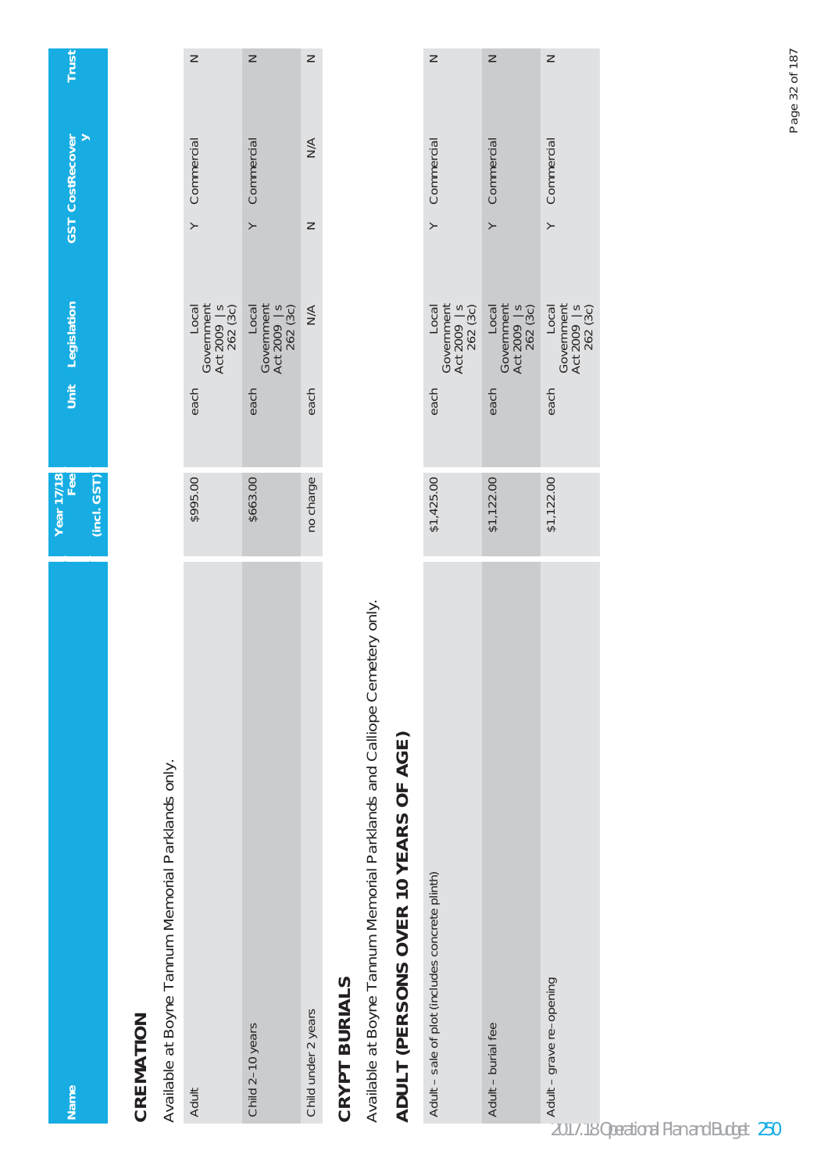| <b>Name</b>                                                              | Year 17/18<br>Fee |      | Unit Legislation                                | GST CostRecover             | Trust  |
|--------------------------------------------------------------------------|-------------------|------|-------------------------------------------------|-----------------------------|--------|
|                                                                          | $(incl.$ $GST)$   |      |                                                 |                             |        |
| CREMATION                                                                |                   |      |                                                 |                             |        |
| Available at Boyne Tannum Memorial Parklands only.                       |                   |      |                                                 |                             |        |
| Adult                                                                    | \$995.00          | each | Government<br>Act 2009   s<br>262 (3c)<br>Local | Commercial<br>$\geq$        | $\geq$ |
| Child 2-10 years                                                         | \$663.00          | each | Government<br>Act 2009   s<br>262 (3c)<br>Local | Commercial<br>$\succ$       | $\geq$ |
| Child under 2 years                                                      | no charge         | each | $\frac{4}{2}$                                   | $\leq$<br>$\geq$            | $\geq$ |
| <b>CRYPT BURIALS</b>                                                     |                   |      |                                                 |                             |        |
| Available at Boyne Tannum Memorial Parklands and Calliope Cemetery only. |                   |      |                                                 |                             |        |
| ADULT (PERSONS OVER 10 YEARS OF AGE)                                     |                   |      |                                                 |                             |        |
| Adult - sale of plot (includes concrete plinth)                          | \$1,425.00        | each | Government<br>Act 2009   s<br>262 (3c)<br>Local | Y Commercial                | $\geq$ |
| Adult - burial fee                                                       | \$1,122.00        | each | Local<br>Government<br>Act 2009   s<br>262 (3c) | Commercial<br>$\rightarrow$ | $\geq$ |
| Adult - grave re-opening                                                 | \$1,122.00        | each | Government<br>Act 2009   s<br>262 (3c)<br>Local | Commercial<br>$\rightarrow$ | $\geq$ |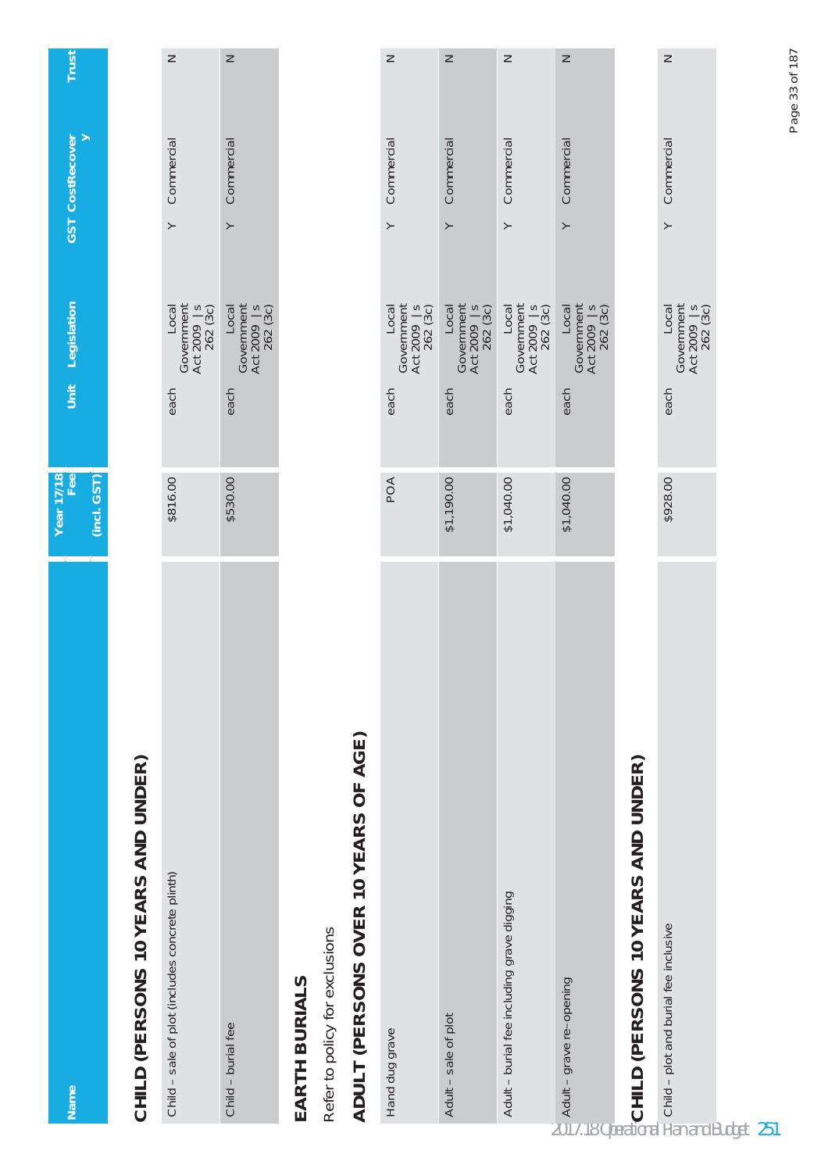| <b>Name</b>                                         | Year 17/18<br>Fee |      | Unit Legislation                                | <b>GST</b> CostRecover | Trust  |
|-----------------------------------------------------|-------------------|------|-------------------------------------------------|------------------------|--------|
|                                                     | $(incl.$ $GST)$   |      |                                                 |                        |        |
| CHILD (PERSONS 10 YEARS AND UNDER)                  |                   |      |                                                 |                        |        |
| Child - sale of plot (includes concrete plinth)     | \$816.00          | each | Government<br>Act 2009   s<br>262 (3c)<br>Local | Commercial<br>$\geq$   | $\geq$ |
| Child - burial fee                                  | \$530.00          | each | Government<br>Act 2009   s<br>262 (3c)<br>Loca  | Commercial<br>$\succ$  | $\geq$ |
| EARTH BURIALS                                       |                   |      |                                                 |                        |        |
| Refer to policy for exclusions                      |                   |      |                                                 |                        |        |
| ADULT (PERSONS OVER 10 YEARS OF AGE)                |                   |      |                                                 |                        |        |
| Hand dug grave                                      | POA               | each | Government<br>Act 2009   s<br>262 (3c)<br>Local | Commercial<br>$\geq$   | $\geq$ |
| Adult - sale of plot                                | \$1,190.00        | each | Government<br>Act 2009   s<br>262 (3c)<br>Local | Commercial<br>$\geq$   | $\geq$ |
| Adult - burial fee including grave digging          | \$1,040.00        | each | Local<br>Government<br>Act 2009   s<br>262 (3c) | Commercial<br>$\geq$   | $\geq$ |
| 20<br>Adult – grave re-opening                      | \$1,040.00        | each | Government<br>Act 2009   s<br>262 (3c)<br>Local | Commercial<br>$\succ$  | $\geq$ |
| <b>ENCHILD (PERSONS 10 YEARS AND UNDER)</b>         |                   |      |                                                 |                        |        |
| $\frac{1}{2}$ Child – plot and burial fee inclusive | \$928.00          | each | Government<br>Act 2009   s<br>262 (3c)<br>Local | Commercial<br>$\geq$   | $\geq$ |
|                                                     |                   |      |                                                 |                        |        |

Page 33 of 187 Page 33 of 187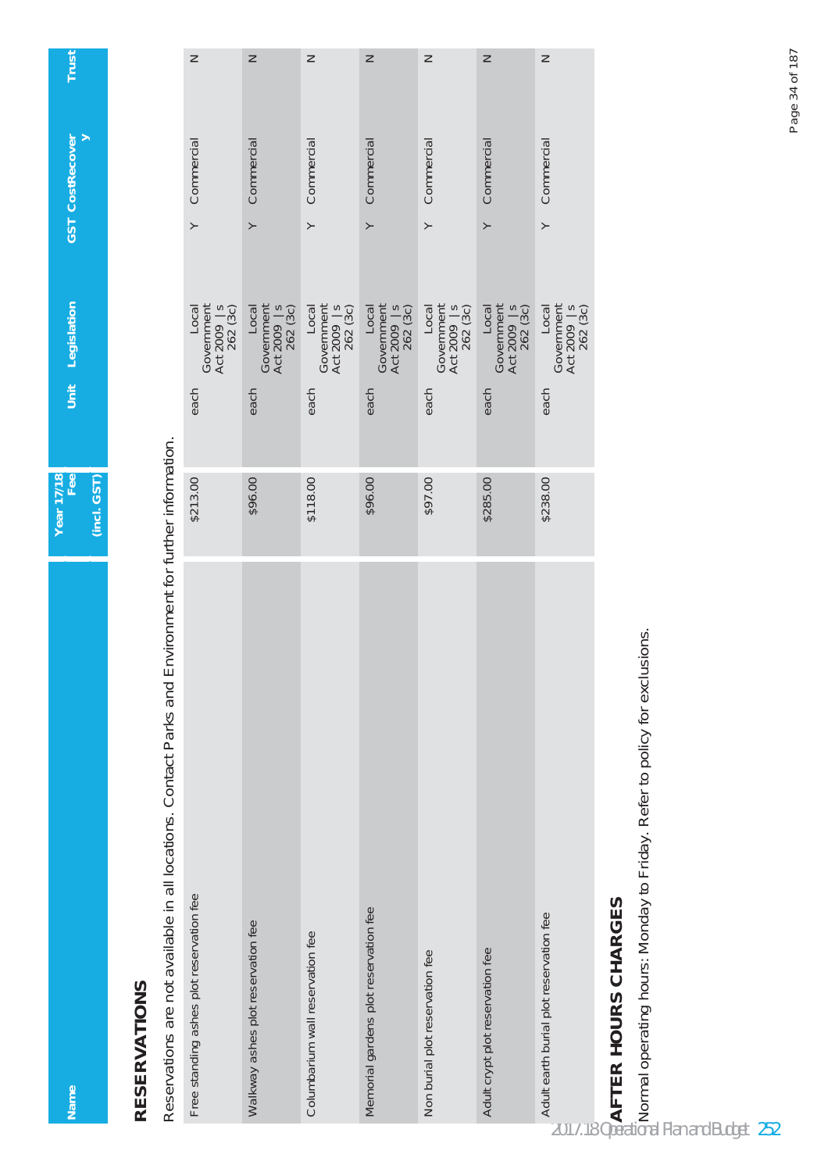**GST** CostRecover **Name Fee Unit Legislation GST CostRecover** Unit Legislation **Year 17/18 (incl. GST)**

**Trust**

## **RESERVATIONS RESERVATIONS**

**Name** 

Reservations are not available in all locations. Contact Parks and Environment for further information. Reservations are not available in all locations. Contact Parks and Environment for further information.

| Free standing ashes plot reservation fee                                                                                                                                     | \$213.00 | each | Government<br>Act 2009   s<br>262 (3c)<br>Local                                                                                     | $\rightarrow$    | Commercial | $\geq$ |
|------------------------------------------------------------------------------------------------------------------------------------------------------------------------------|----------|------|-------------------------------------------------------------------------------------------------------------------------------------|------------------|------------|--------|
| Walkway ashes plot reservation fee                                                                                                                                           | \$96.00  | each | $\begin{array}{c} \text{Local} \\ \text{Government} \\ \text{Act 2009} \\ 262 (3c) \end{array}$                                     | $\geq$           | Commercial | $\geq$ |
| Columbarium wall reservation fee                                                                                                                                             | \$118.00 | each | Local<br>Government<br>Act 2009   s<br>262 (3c)                                                                                     | $\left. \right.$ | Commercial | Z      |
| Memorial gardens plot reservation fee                                                                                                                                        | \$96.00  | each | Local<br>Government<br>Act 2009   s<br>262 (3c)                                                                                     | $\geq$           | Commercial | Z      |
| Non burial plot reservation fee                                                                                                                                              | \$97.00  | each | $\begin{array}{l} \text{Local} \\ \text{Government} \\ \text{Act 2009} \\ \text{Act 2009} \\ \text{262} \\ \text{(3c)} \end{array}$ | $\succ$          | Commercial | Z      |
| Adult crypt plot reservation fee                                                                                                                                             | \$285.00 | each | Local<br>Government<br>Act 2009   s<br>262 (3c)                                                                                     | $\left. \right.$ | Commercial | $\geq$ |
| Adult earth burial plot reservation fee                                                                                                                                      | \$238.00 | each | $\begin{array}{c} \text{Local} \\ \text{Government} \\ \text{Act 2009} \\ \text{Act 2009} \\ \text{262} \\ \text{(3c)} \end{array}$ | $\geq$           | Commercial | $\geq$ |
|                                                                                                                                                                              |          |      |                                                                                                                                     |                  |            |        |
| Andrearm Dania politics<br>PAFT <b>ER HOURS CHARGES</b><br>2017.18 Operating hours: Monday to Friday. Refer to policy for exclusions.<br>2017.18 Operational Plan and Budget |          |      |                                                                                                                                     |                  |            |        |
| 252                                                                                                                                                                          |          |      |                                                                                                                                     |                  |            |        |

## **AFTER HOURS CHARGES**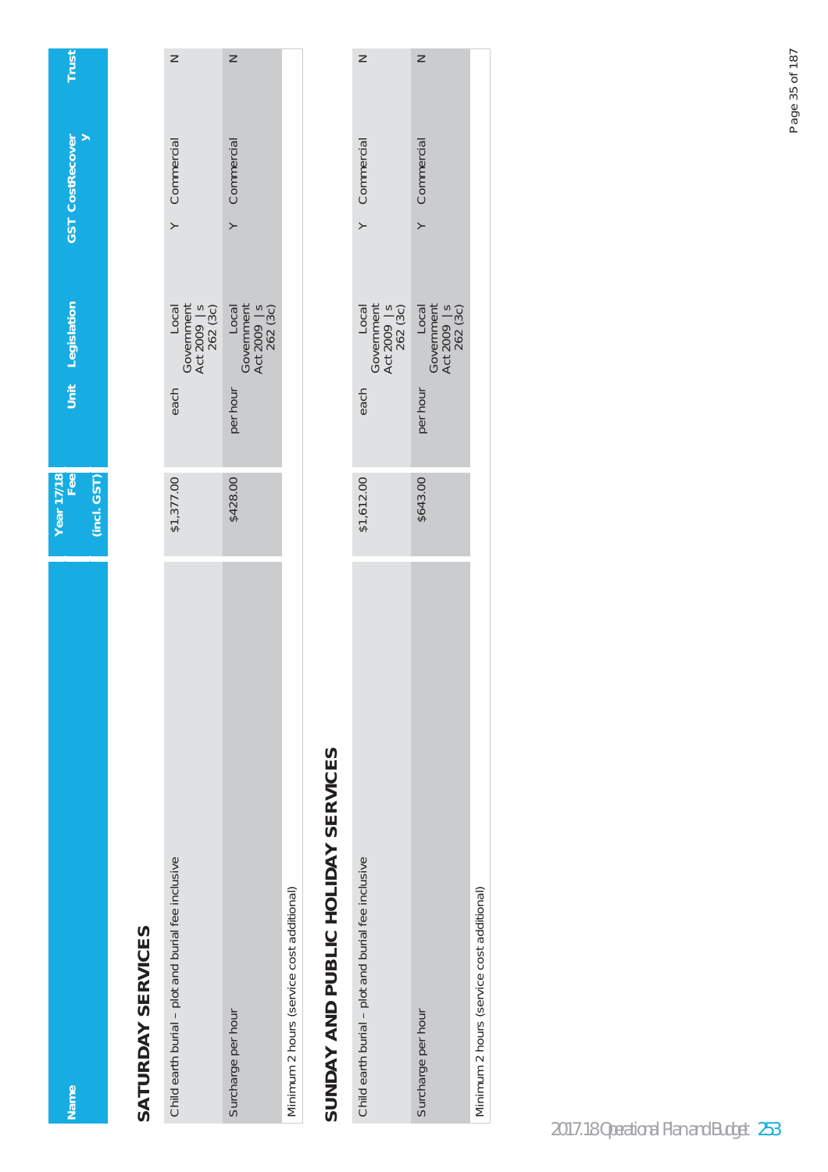| <b>Name</b>                                        | Year 17/18<br>Fee | Unit Legislation                                                                                                                              | <b>GST</b> CostRecover      | Trust  |
|----------------------------------------------------|-------------------|-----------------------------------------------------------------------------------------------------------------------------------------------|-----------------------------|--------|
|                                                    | (incl. GST)       |                                                                                                                                               |                             |        |
| SATURDAY SERVICES                                  |                   |                                                                                                                                               |                             |        |
| Child earth burial - plot and burial fee inclusive | \$1,377.00        | $\begin{array}{c} \text{Local} \\ \text{Government} \\ \text{Act 2009} \\ \text{262} \\ \text{262} \\ \text{(3c)} \end{array}$<br>each        | Y Commercial                | Z      |
| Surcharge per hour                                 | \$428.00          | $\begin{array}{c} \text{Local} \\ \text{Government} \\ \text{Act 2009} \\ \text{262} \\ \text{262} \\ \text{(3c)} \end{array}$<br>per hour    | Commercial<br>$\rightarrow$ | $\geq$ |
| Minimum 2 hours (service cost additional)          |                   |                                                                                                                                               |                             |        |
| SUNDAY AND PUBLIC HOLIDAY SERVICES                 |                   |                                                                                                                                               |                             |        |
| Child earth burial - plot and burial fee inclusive | \$1,612.00        | Local<br>Government<br>Act 2009   s<br>262 (3c)<br>each                                                                                       | Y Commercial                | Z      |
| Surcharge per hour                                 | \$643.00          | $\begin{array}{c} \text{Local} \\ \text{Government} \\ \text{Act 2009} \\ \text{Act 2009} \\ \text{262} \text{ (3c)} \end{array}$<br>per hour | Y Commercial                | $\geq$ |

Minimum 2 hours (service cost additional)

Minimum 2 hours (service cost additional)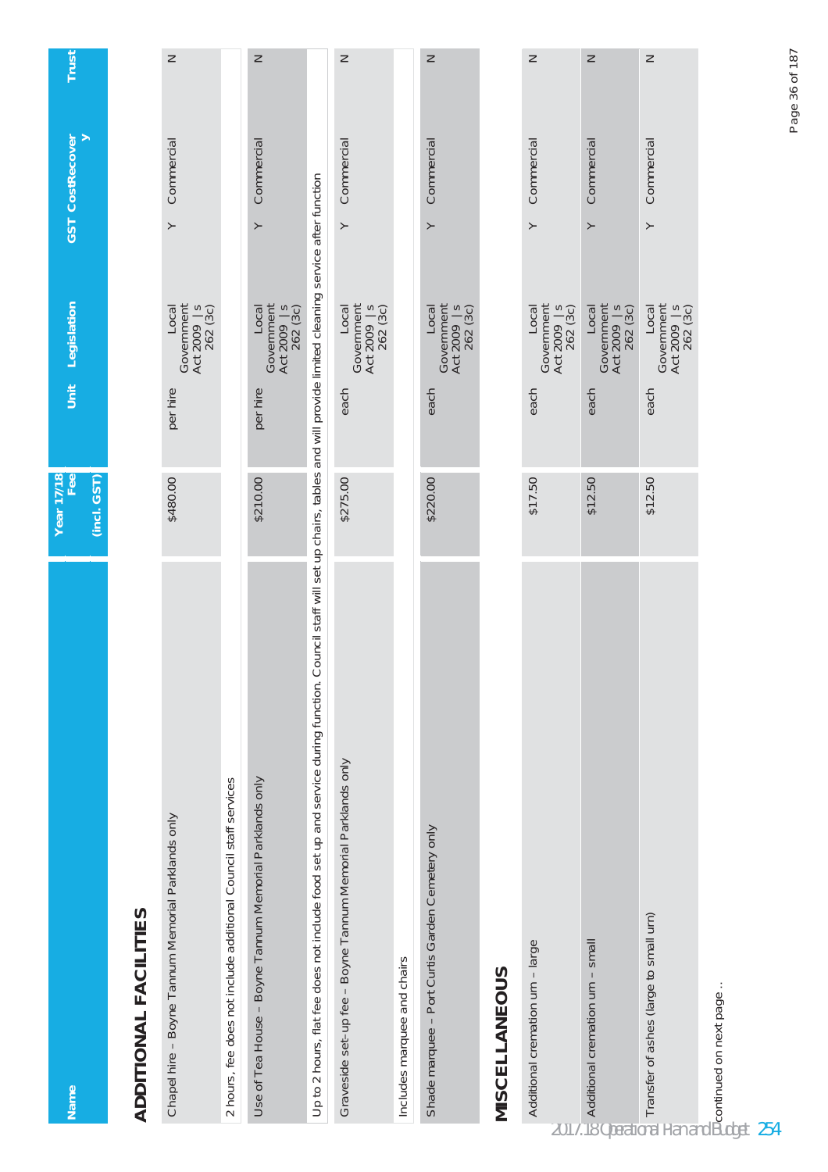| Name                                                                                                                                                                                | Year 17/18<br>Fee | Unit     | Legislation                                                                                                                    | <b>GST</b> CostRecover | Trust  |
|-------------------------------------------------------------------------------------------------------------------------------------------------------------------------------------|-------------------|----------|--------------------------------------------------------------------------------------------------------------------------------|------------------------|--------|
|                                                                                                                                                                                     | (incl. GST)       |          |                                                                                                                                |                        |        |
| <b>ADDITIONAL FACILITIES</b>                                                                                                                                                        |                   |          |                                                                                                                                |                        |        |
| Chapel hire - Boyne Tannum Memorial Parklands only                                                                                                                                  | \$480.00          | per hire | Government<br>Act 2009   s<br>262 (3c)<br>Local                                                                                | Commercial<br>$\geq$   | $\geq$ |
| 2 hours, fee does not include additional Council staff services                                                                                                                     |                   |          |                                                                                                                                |                        |        |
| Use of Tea House - Boyne Tannum Memorial Parklands only                                                                                                                             | \$210.00          | per hire | Government<br>Act 2009   s<br>262 (3c)<br>Local                                                                                | Commercial<br>≻        | $\geq$ |
| Up to 2 hours, flat fee does not include food set up and service during function. Council staff will set up chairs, tables and will provide limited cleaning service after function |                   |          |                                                                                                                                |                        |        |
| Graveside set-up fee - Boyne Tannum Memorial Parklands only                                                                                                                         | \$275.00          | each     | Government<br>Act 2009   s<br>262 (3c)<br>Local                                                                                | Commercial<br>$\geq$   | $\geq$ |
| Includes marquee and chairs                                                                                                                                                         |                   |          |                                                                                                                                |                        |        |
| Shade marquee - Port Curtis Garden Cemetery only                                                                                                                                    | \$220.00          | each     | Government<br>Act 2009   s<br>262 (3c)<br>Local                                                                                | Commercial<br>$\succ$  | $\geq$ |
| MISCELLANEOUS                                                                                                                                                                       |                   |          |                                                                                                                                |                        |        |
| Additional cremation urn - large                                                                                                                                                    | \$17.50           | each     | Local<br>Government<br>Act 2009 S<br>262 (3c)                                                                                  | Commercial<br>$\succ$  | $\geq$ |
|                                                                                                                                                                                     | \$12.50           | each     | $\begin{array}{c} \text{Local} \\ \text{Government} \\ \text{Act 2009} \\ \text{262} \\ \text{262} \\ \text{(3c)} \end{array}$ | Commercial<br>≻        | $\geq$ |
| Moditional cremation urn – small<br>Additional cremation urn – small<br>Transfer of ashes (large to small urn)<br>Transfer of ashes (large to small urn)                            | \$12.50           | each     | $\begin{array}{c} \text{Local} \\ \text{Government} \\ \text{Act 2009} \\ \text{262} \\ \text{262} \\ \text{(3c)} \end{array}$ | Commercial<br>$\succ$  | $\geq$ |
| Becontinued on next page<br>Budget                                                                                                                                                  |                   |          |                                                                                                                                |                        |        |
| 254                                                                                                                                                                                 |                   |          |                                                                                                                                |                        |        |

Page 36 of 187 Page 36 of 187